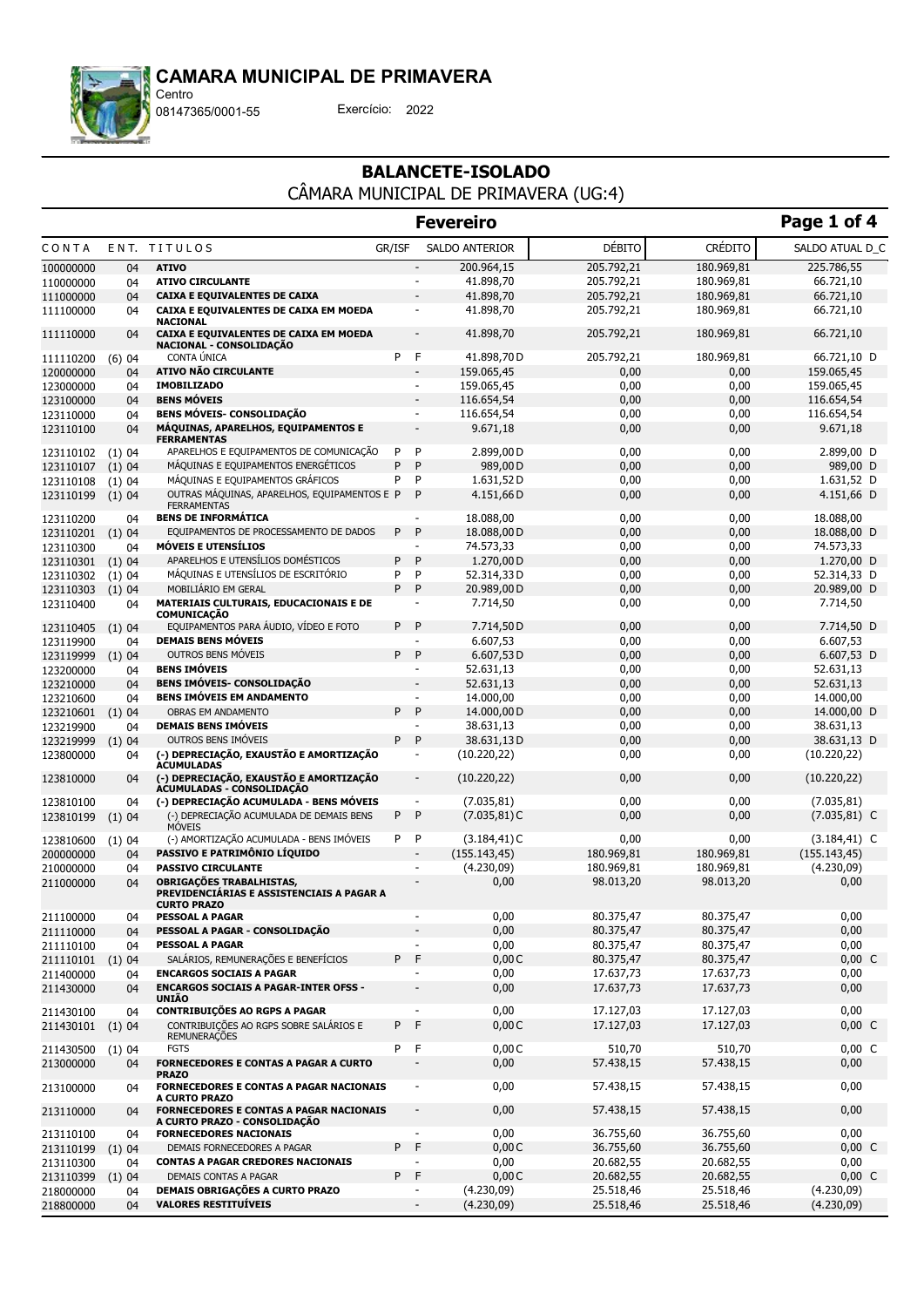

08147365/0001-55 Exercício: 2022

# BALANCETE-ISOLADO

CÂMARA MUNICIPAL DE PRIMAVERA (UG:4)

|                        |             |                                                                                                                 |                              | <b>Fevereiro</b>                   |               |                | Page 1 of 4                        |
|------------------------|-------------|-----------------------------------------------------------------------------------------------------------------|------------------------------|------------------------------------|---------------|----------------|------------------------------------|
| CONTA                  |             | ENT. TITULOS<br>GR/ISF                                                                                          |                              | SALDO ANTERIOR                     | <b>DÉBITO</b> | <b>CRÉDITO</b> | SALDO ATUAL D_C                    |
| 100000000              | 04          | <b>ATIVO</b>                                                                                                    |                              | 200.964,15                         | 205.792,21    | 180.969,81     | 225.786,55                         |
| 110000000              | 04          | <b>ATIVO CIRCULANTE</b>                                                                                         | ۰                            | 41.898,70                          | 205.792,21    | 180.969,81     | 66.721,10                          |
| 111000000              | 04          | <b>CAIXA E EQUIVALENTES DE CAIXA</b>                                                                            | $\blacksquare$               | 41.898,70                          | 205.792,21    | 180.969,81     | 66.721,10                          |
| 111100000              | 04          | CAIXA E EQUIVALENTES DE CAIXA EM MOEDA<br><b>NACIONAL</b>                                                       | $\overline{\phantom{a}}$     | 41.898,70                          | 205.792,21    | 180.969,81     | 66.721,10                          |
| 111110000              | 04          | CAIXA E EQUIVALENTES DE CAIXA EM MOEDA<br>NACIONAL - CONSOLIDAÇÃO                                               | $\overline{\phantom{a}}$     | 41.898,70                          | 205.792,21    | 180.969,81     | 66.721,10                          |
| 111110200              | (6)04       | CONTA ÚNICA<br>P.                                                                                               | F                            | 41.898,70 D                        | 205.792,21    | 180.969,81     | 66.721,10 D                        |
| 120000000              | 04          | <b>ATIVO NÃO CIRCULANTE</b>                                                                                     | $\blacksquare$               | 159.065,45                         | 0,00          | 0,00           | 159.065,45                         |
| 123000000              | 04          | <b>IMOBILIZADO</b>                                                                                              | $\blacksquare$               | 159.065,45                         | 0,00          | 0,00           | 159.065,45                         |
| 123100000              | 04          | <b>BENS MÓVEIS</b>                                                                                              | $\blacksquare$               | 116.654,54                         | 0,00          | 0,00           | 116.654,54                         |
| 123110000              | 04          | <b>BENS MÓVEIS- CONSOLIDAÇÃO</b>                                                                                | $\blacksquare$               | 116.654,54                         | 0,00          | 0,00           | 116.654,54                         |
| 123110100              | 04          | MÁQUINAS, APARELHOS, EQUIPAMENTOS E<br><b>FERRAMENTAS</b>                                                       | $\overline{a}$               | 9.671,18                           | 0,00          | 0,00           | 9.671,18                           |
| 123110102              | (1)04       | APARELHOS E EQUIPAMENTOS DE COMUNICAÇÃO<br>P                                                                    | P                            | 2.899,00 D                         | 0,00          | 0,00           | 2.899,00 D                         |
| 123110107              | (1)04       | MÁQUINAS E EQUIPAMENTOS ENERGÉTICOS<br>P                                                                        | P                            | 989,00 D                           | 0,00          | 0,00           | 989,00 D                           |
| 123110108              | (1)04       | MÁQUINAS E EQUIPAMENTOS GRÁFICOS<br>P                                                                           | P                            | 1.631,52D                          | 0,00          | 0,00           | 1.631,52 D                         |
| 123110199              | (1)04       | OUTRAS MÁQUINAS, APARELHOS, EQUIPAMENTOS E P<br><b>FERRAMENTAS</b>                                              | P                            | 4.151,66D                          | 0,00          | 0,00           | 4.151,66 D                         |
| 123110200              | 04          | <b>BENS DE INFORMÁTICA</b>                                                                                      | $\sim$                       | 18.088,00                          | 0,00          | 0,00           | 18.088,00                          |
| 123110201              | (1)04       | EQUIPAMENTOS DE PROCESSAMENTO DE DADOS<br>P                                                                     | P                            | 18.088,00 D                        | 0,00          | 0,00           | 18.088,00 D                        |
| 123110300              | 04          | <b>MÓVEIS E UTENSÍLIOS</b>                                                                                      | ٠                            | 74.573,33                          | 0,00          | 0,00           | 74.573,33                          |
| 123110301              | (1)04       | APARELHOS E UTENSÍLIOS DOMÉSTICOS<br>P                                                                          | P                            | 1.270,00 D                         | 0,00          | 0,00           | 1.270,00 D                         |
| 123110302              | (1)04       | MÁQUINAS E UTENSÍLIOS DE ESCRITÓRIO<br>P                                                                        | P                            | 52.314,33D                         | 0,00          | 0,00           | 52.314,33 D                        |
| 123110303              | (1)04       | MOBILIÁRIO EM GERAL<br>P                                                                                        | P                            | 20.989,00 D                        | 0,00          | 0,00           | 20.989,00 D                        |
| 123110400              | 04          | MATERIAIS CULTURAIS, EDUCACIONAIS E DE<br><b>COMUNICAÇÃO</b>                                                    | $\overline{\phantom{a}}$     | 7.714,50                           | 0,00          | 0,00           | 7.714,50                           |
| 123110405              | (1)04       | EQUIPAMENTOS PARA ÁUDIO, VÍDEO E FOTO<br>P                                                                      | P                            | 7.714,50D                          | 0,00          | 0,00           | 7.714,50 D                         |
| 123119900              | 04          | <b>DEMAIS BENS MÓVEIS</b>                                                                                       | $\overline{\phantom{a}}$     | 6.607,53                           | 0,00          | 0,00           | 6.607,53                           |
| 123119999              | (1)04       | OUTROS BENS MÓVEIS<br>P                                                                                         | P                            | 6.607,53D                          | 0,00          | 0,00           | 6.607,53 D                         |
| 123200000              | 04          | <b>BENS IMÓVEIS</b>                                                                                             | $\overline{\phantom{a}}$     | 52.631,13                          | 0,00          | 0,00           | 52.631,13                          |
| 123210000              | 04          | <b>BENS IMÓVEIS- CONSOLIDAÇÃO</b>                                                                               | $\overline{\phantom{a}}$     | 52.631,13                          | 0,00          | 0,00           | 52.631,13                          |
| 123210600              | 04          | <b>BENS IMÓVEIS EM ANDAMENTO</b>                                                                                | $\overline{\phantom{a}}$     | 14.000,00                          | 0,00          | 0,00           | 14.000,00                          |
| 123210601              | (1)04       | OBRAS EM ANDAMENTO                                                                                              | P<br>P.                      | 14.000,00 D                        | 0,00          | 0,00           | 14.000,00 D                        |
| 123219900              | 04          | <b>DEMAIS BENS IMÓVEIS</b>                                                                                      | $\overline{\phantom{a}}$     | 38.631,13                          | 0,00          | 0,00           | 38.631,13                          |
| 123219999              | (1)04       | OUTROS BENS IMÓVEIS<br>P.                                                                                       | P                            | 38.631,13D                         | 0,00          | 0,00           | 38.631,13 D                        |
| 123800000              | 04          | (-) DEPRECIAÇÃO, EXAUSTÃO E AMORTIZAÇÃO<br><b>ACUMULADAS</b>                                                    |                              | (10.220, 22)                       | 0,00          | 0,00           | (10.220, 22)                       |
| 123810000              | 04          | (-) DEPRECIAÇÃO, EXAUSTÃO E AMORTIZAÇÃO<br>ACUMULADAS - CONSOLIDAÇÃO                                            | $\overline{\phantom{a}}$     | (10.220, 22)                       | 0,00          | 0,00           | (10.220, 22)                       |
| 123810100              | 04          | (-) DEPRECIAÇÃO ACUMULADA - BENS MÓVEIS                                                                         | $\blacksquare$               | (7.035, 81)                        | 0,00          | 0,00           | (7.035, 81)                        |
| 123810199              | (1)04       | (-) DEPRECIAÇÃO ACUMULADA DE DEMAIS BENS<br>P<br><b>MÓVEIS</b><br>(-) AMORTIZAÇÃO ACUMULADA - BENS IMÓVEIS<br>P | P<br>P                       | $(7.035, 81)$ C<br>$(3.184, 41)$ C | 0,00<br>0,00  | 0,00<br>0,00   | $(7.035, 81)$ C<br>$(3.184, 41)$ C |
| 123810600<br>200000000 | (1)04<br>04 | PASSIVO E PATRIMÔNIO LÍOUIDO                                                                                    | ÷,                           | (155.143, 45)                      | 180.969,81    | 180.969,81     | (155.143, 45)                      |
| 210000000              | 04          | <b>PASSIVO CIRCULANTE</b>                                                                                       | ٠                            | (4.230,09)                         | 180.969,81    | 180.969,81     | (4.230,09)                         |
| 211000000              | 04          | OBRIGAÇÕES TRABALHISTAS,<br>PREVIDENCIÁRIAS E ASSISTENCIAIS A PAGAR A<br><b>CURTO PRAZO</b>                     |                              | 0,00                               | 98.013,20     | 98.013,20      | 0,00                               |
| 211100000              | 04          | <b>PESSOAL A PAGAR</b>                                                                                          | $\overline{\phantom{a}}$     | 0,00                               | 80.375,47     | 80.375,47      | 0,00                               |
| 211110000              | 04          | PESSOAL A PAGAR - CONSOLIDAÇÃO                                                                                  |                              | 0,00                               | 80.375,47     | 80.375,47      | 0,00                               |
| 211110100              | 04          | <b>PESSOAL A PAGAR</b>                                                                                          | $\overline{\phantom{0}}$     | 0,00                               | 80.375,47     | 80.375,47      | 0,00                               |
| 211110101              | (1)04       | SALÁRIOS, REMUNERAÇÕES E BENEFÍCIOS<br>P                                                                        | F                            | 0,00C                              | 80.375,47     | 80.375,47      | $0,00\,C$                          |
| 211400000              | 04          | <b>ENCARGOS SOCIAIS A PAGAR</b>                                                                                 | $\overline{a}$               | 0,00                               | 17.637,73     | 17.637,73      | 0,00                               |
| 211430000              | 04          | <b>ENCARGOS SOCIAIS A PAGAR-INTER OFSS -</b><br><b>UNIÃO</b>                                                    | $\qquad \qquad \blacksquare$ | 0,00                               | 17.637,73     | 17.637,73      | 0,00                               |
| 211430100              | 04          | <b>CONTRIBUIÇÕES AO RGPS A PAGAR</b>                                                                            |                              | 0,00                               | 17.127,03     | 17.127,03      | 0,00                               |
| 211430101              | (1)04       | CONTRIBUIÇÕES AO RGPS SOBRE SALÁRIOS E<br>P<br><b>REMUNERAÇÕES</b>                                              | F                            | 0,00C                              | 17.127,03     | 17.127,03      | $0,00\,C$                          |
| 211430500              | (1)04       | P<br><b>FGTS</b>                                                                                                | F                            | 0,00C                              | 510,70        | 510,70         | $0,00\,C$                          |
| 213000000              | 04          | <b>FORNECEDORES E CONTAS A PAGAR A CURTO</b><br><b>PRAZO</b>                                                    |                              | 0,00                               | 57.438,15     | 57.438,15      | 0,00                               |
| 213100000              | 04          | <b>FORNECEDORES E CONTAS A PAGAR NACIONAIS</b><br>A CURTO PRAZO                                                 |                              | 0,00                               | 57.438,15     | 57.438,15      | 0,00                               |
| 213110000              | 04          | <b>FORNECEDORES E CONTAS A PAGAR NACIONAIS</b><br>A CURTO PRAZO - CONSOLIDAÇÃO                                  |                              | 0,00                               | 57.438,15     | 57.438,15      | 0,00                               |
| 213110100              | 04          | <b>FORNECEDORES NACIONAIS</b>                                                                                   |                              | 0,00                               | 36.755,60     | 36.755,60      | 0,00                               |
| 213110199              | (1) 04      | P.<br>DEMAIS FORNECEDORES A PAGAR                                                                               | F                            | 0,00C                              | 36.755,60     | 36.755,60      | $0,00\,C$                          |
| 213110300              | 04          | <b>CONTAS A PAGAR CREDORES NACIONAIS</b>                                                                        | $\overline{\phantom{a}}$     | 0,00                               | 20.682,55     | 20.682,55      | 0,00                               |
| 213110399              | (1)04       | DEMAIS CONTAS A PAGAR                                                                                           | P F                          | 0,00C                              | 20.682,55     | 20.682,55      | $0,00\,C$                          |
| 218000000              | 04          | DEMAIS OBRIGAÇÕES A CURTO PRAZO                                                                                 | $\overline{\phantom{a}}$     | (4.230,09)                         | 25.518,46     | 25.518,46      | (4.230,09)                         |
| 218800000              | 04          | <b>VALORES RESTITUÍVEIS</b>                                                                                     | $\overline{\phantom{a}}$     | (4.230,09)                         | 25.518,46     | 25.518,46      | (4.230,09)                         |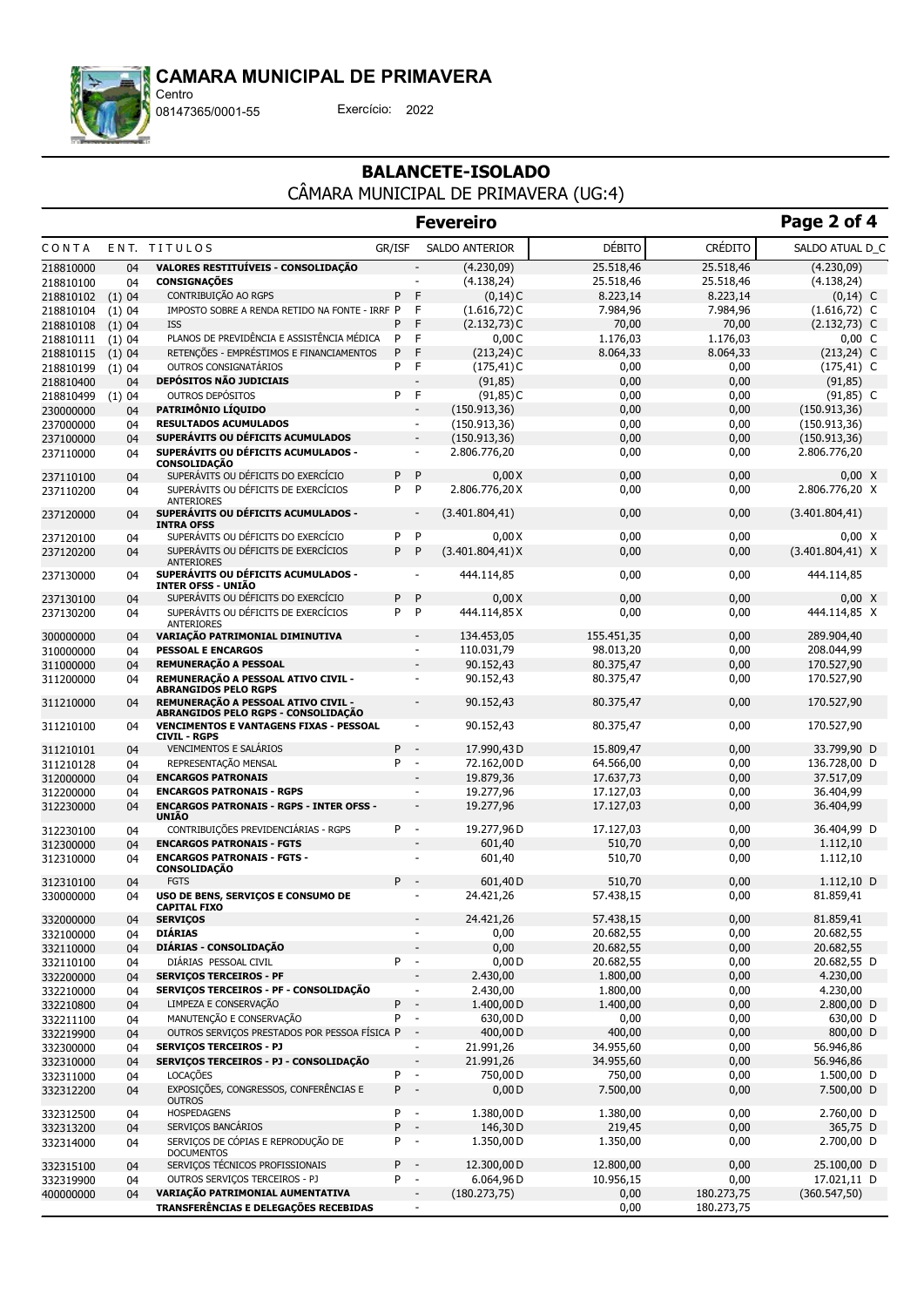

Centro

08147365/0001-55 Exercício: 2022

### BALANCETE-ISOLADO CÂMARA MUNICIPAL DE PRIMAVERA (UG:4)

|           |        |                                                                            |        |                          | <b>Fevereiro</b>      |            |                | Page 2 of 4         |
|-----------|--------|----------------------------------------------------------------------------|--------|--------------------------|-----------------------|------------|----------------|---------------------|
| CONTA     |        | ENT. TITULOS                                                               | GR/ISF |                          | <b>SALDO ANTERIOR</b> | DÉBITO     | <b>CRÉDITO</b> | SALDO ATUAL D C     |
| 218810000 | 04     | VALORES RESTITUÍVEIS - CONSOLIDAÇÃO                                        |        |                          | (4.230,09)            | 25.518,46  | 25.518,46      | (4.230,09)          |
| 218810100 | 04     | <b>CONSIGNAÇÕES</b>                                                        |        | $\sim$                   | (4.138, 24)           | 25.518,46  | 25.518,46      | (4.138, 24)         |
| 218810102 | (1)04  | CONTRIBUIÇÃO AO RGPS                                                       | P      | F                        | $(0,14)$ C            | 8.223,14   | 8.223,14       | $(0,14)$ C          |
| 218810104 | (1)04  | IMPOSTO SOBRE A RENDA RETIDO NA FONTE - IRRF P                             |        | F                        | $(1.616, 72)$ C       | 7.984,96   | 7.984,96       | $(1.616, 72)$ C     |
| 218810108 | (1)04  | <b>ISS</b>                                                                 | P      | F                        | $(2.132, 73)$ C       | 70,00      | 70,00          | $(2.132, 73)$ C     |
| 218810111 | (1) 04 | PLANOS DE PREVIDÊNCIA E ASSISTÊNCIA MÉDICA                                 | P      | F                        | 0,00C                 | 1.176,03   | 1.176,03       | $0,00\,C$           |
| 218810115 | (1)04  | RETENÇÕES - EMPRÉSTIMOS E FINANCIAMENTOS                                   | P      | F                        | $(213, 24)$ C         | 8.064,33   | 8.064,33       | $(213, 24)$ C       |
| 218810199 | (1) 04 | OUTROS CONSIGNATÁRIOS                                                      | P      | F                        | $(175, 41)$ C         | 0,00       | 0,00           | $(175, 41)$ C       |
| 218810400 | 04     | <b>DEPÓSITOS NÃO JUDICIAIS</b>                                             |        |                          | (91, 85)              | 0,00       | 0,00           | (91, 85)            |
| 218810499 | (1)04  | <b>OUTROS DEPÓSITOS</b>                                                    | P      | F                        | $(91, 85)$ C          | 0,00       | 0,00           | $(91, 85)$ C        |
| 230000000 | 04     | PATRIMÔNIO LÍQUIDO                                                         |        | $\overline{\phantom{a}}$ | (150.913, 36)         | 0,00       | 0,00           | (150.913, 36)       |
| 237000000 | 04     | <b>RESULTADOS ACUMULADOS</b>                                               |        | $\overline{\phantom{a}}$ | (150.913, 36)         | 0,00       | 0,00           | (150.913, 36)       |
| 237100000 | 04     | SUPERÁVITS OU DÉFICITS ACUMULADOS                                          |        | $\overline{\phantom{a}}$ | (150.913, 36)         | 0,00       | 0,00           | (150.913, 36)       |
| 237110000 | 04     | SUPERÁVITS OU DÉFICITS ACUMULADOS -<br><b>CONSOLIDAÇÃO</b>                 |        | $\overline{\phantom{a}}$ | 2.806.776,20          | 0,00       | 0,00           | 2.806.776,20        |
| 237110100 | 04     | SUPERÁVITS OU DÉFICITS DO EXERCÍCIO                                        | P      | P                        | 0,00X                 | 0,00       | 0,00           | $0,00 \ X$          |
| 237110200 | 04     | SUPERÁVITS OU DÉFICITS DE EXERCÍCIOS<br><b>ANTERIORES</b>                  | P      | P                        | 2.806.776,20X         | 0,00       | 0,00           | 2.806.776,20 X      |
| 237120000 | 04     | SUPERÁVITS OU DÉFICITS ACUMULADOS -<br><b>INTRA OFSS</b>                   |        | $\overline{a}$           | (3.401.804, 41)       | 0,00       | 0,00           | (3.401.804, 41)     |
| 237120100 | 04     | SUPERÁVITS OU DÉFICITS DO EXERCÍCIO                                        | P      | P                        | 0,00X                 | 0,00       | 0,00           | $0,00 \ X$          |
| 237120200 | 04     | SUPERÁVITS OU DÉFICITS DE EXERCÍCIOS<br><b>ANTERIORES</b>                  | P      | P                        | (3.401.804, 41)X      | 0,00       | 0,00           | $(3.401.804, 41)$ X |
| 237130000 | 04     | SUPERÁVITS OU DÉFICITS ACUMULADOS -<br><b>INTER OFSS - UNIÃO</b>           |        | ٠                        | 444.114,85            | 0,00       | 0,00           | 444.114,85          |
| 237130100 | 04     | SUPERÁVITS OU DÉFICITS DO EXERCÍCIO                                        | P      | P                        | 0,00X                 | 0,00       | 0,00           | $0,00 \ X$          |
| 237130200 | 04     | SUPERÁVITS OU DÉFICITS DE EXERCÍCIOS<br><b>ANTERIORES</b>                  | P      | P                        | 444.114,85 X          | 0,00       | 0,00           | 444.114,85 X        |
| 300000000 | 04     | VARIAÇÃO PATRIMONIAL DIMINUTIVA                                            |        |                          | 134.453,05            | 155.451,35 | 0,00           | 289.904,40          |
| 310000000 | 04     | <b>PESSOAL E ENCARGOS</b>                                                  |        | $\blacksquare$           | 110.031,79            | 98.013,20  | 0,00           | 208.044,99          |
| 311000000 | 04     | REMUNERAÇÃO A PESSOAL                                                      |        |                          | 90.152,43             | 80.375,47  | 0,00           | 170.527,90          |
| 311200000 | 04     | REMUNERAÇÃO A PESSOAL ATIVO CIVIL -<br><b>ABRANGIDOS PELO RGPS</b>         |        | ÷.                       | 90.152,43             | 80.375,47  | 0,00           | 170.527,90          |
| 311210000 | 04     | REMUNERAÇÃO A PESSOAL ATIVO CIVIL -<br>ABRANGIDOS PELO RGPS - CONSOLIDAÇÃO |        |                          | 90.152,43             | 80.375,47  | 0,00           | 170.527,90          |
| 311210100 | 04     | <b>VENCIMENTOS E VANTAGENS FIXAS - PESSOAL</b><br><b>CIVIL - RGPS</b>      |        |                          | 90.152,43             | 80.375,47  | 0,00           | 170.527,90          |
| 311210101 | 04     | <b>VENCIMENTOS E SALÁRIOS</b>                                              | P      | $\overline{\phantom{a}}$ | 17.990,43D            | 15.809,47  | 0,00           | 33.799,90 D         |
| 311210128 | 04     | REPRESENTAÇÃO MENSAL                                                       | P      | $\blacksquare$           | 72.162,00 D           | 64.566,00  | 0,00           | 136.728,00 D        |
| 312000000 | 04     | <b>ENCARGOS PATRONAIS</b>                                                  |        | $\overline{\phantom{a}}$ | 19.879,36             | 17.637,73  | 0,00           | 37.517,09           |
| 312200000 | 04     | <b>ENCARGOS PATRONAIS - RGPS</b>                                           |        | ٠                        | 19.277,96             | 17.127,03  | 0,00           | 36.404,99           |
| 312230000 | 04     | <b>ENCARGOS PATRONAIS - RGPS - INTER OFSS -</b><br><b>UNIÃO</b>            |        | $\blacksquare$           | 19.277,96             | 17.127,03  | 0,00           | 36.404,99           |
| 312230100 | 04     | CONTRIBUICÕES PREVIDENCIÁRIAS - RGPS                                       | P      | $\overline{\phantom{a}}$ | 19.277,96D            | 17.127,03  | 0,00           | 36.404,99 D         |
| 312300000 | 04     | <b>ENCARGOS PATRONAIS - FGTS</b>                                           |        | $\overline{a}$           | 601,40                | 510,70     | 0,00           | 1.112,10            |
| 312310000 | 04     | <b>ENCARGOS PATRONAIS - FGTS -</b><br><b>CONSOLIDAÇÃO</b>                  |        | $\overline{a}$           | 601,40                | 510,70     | 0,00           | 1.112,10            |
| 312310100 | 04     | <b>FGTS</b>                                                                | P      | $\overline{\phantom{a}}$ | 601,40D               | 510,70     | 0,00           | $1.112,10$ D        |
| 330000000 | 04     | USO DE BENS, SERVIÇOS E CONSUMO DE<br><b>CAPITAL FIXO</b>                  |        |                          | 24.421,26             | 57.438,15  | 0,00           | 81.859,41           |
| 332000000 | 04     | <b>SERVIÇOS</b>                                                            |        |                          | 24.421,26             | 57.438,15  | 0,00           | 81.859,41           |
| 332100000 | 04     | <b>DIÁRIAS</b>                                                             |        |                          | 0,00                  | 20.682,55  | 0,00           | 20.682,55           |
| 332110000 | 04     | DIÁRIAS - CONSOLIDAÇÃO                                                     |        |                          | 0,00                  | 20.682,55  | 0,00           | 20.682,55           |
| 332110100 | 04     | DIÁRIAS PESSOAL CIVIL                                                      | P      | $\overline{\phantom{a}}$ | 0,00D                 | 20.682,55  | 0,00           | 20.682,55 D         |
| 332200000 | 04     | <b>SERVIÇOS TERCEIROS - PF</b>                                             |        |                          | 2.430,00              | 1.800,00   | 0,00           | 4.230,00            |
| 332210000 | 04     | SERVIÇOS TERCEIROS - PF - CONSOLIDAÇÃO                                     |        | $\overline{\phantom{a}}$ | 2.430,00              | 1.800,00   | 0,00           | 4.230,00            |
| 332210800 | 04     | LIMPEZA E CONSERVAÇÃO                                                      | P      | $\overline{\phantom{a}}$ | 1.400,00 D            | 1.400,00   | 0,00           | 2.800,00 D          |
| 332211100 | 04     | MANUTENÇÃO E CONSERVAÇÃO                                                   | P      | $\sim$                   | 630,00 D              | 0,00       | 0,00           | 630,00 D            |
| 332219900 | 04     | OUTROS SERVIÇOS PRESTADOS POR PESSOA FÍSICA P                              |        | $\overline{\phantom{a}}$ | 400,00 D              | 400,00     | 0,00           | 800,00 D            |
| 332300000 | 04     | <b>SERVICOS TERCEIROS - PJ</b>                                             |        | ÷                        | 21.991,26             | 34.955,60  | 0,00           | 56.946,86           |
| 332310000 | 04     | SERVIÇOS TERCEIROS - PJ - CONSOLIDAÇÃO                                     |        | $\overline{\phantom{a}}$ | 21.991,26             | 34.955,60  | 0,00           | 56.946,86           |
| 332311000 | 04     | <b>LOCAÇÕES</b>                                                            | P      | $\sim$                   | 750,00 D              | 750,00     | 0,00           | 1.500,00 D          |
| 332312200 | 04     | EXPOSIÇÕES, CONGRESSOS, CONFERÊNCIAS E<br><b>OUTROS</b>                    | P      | $\sim$                   | 0,00D                 | 7.500,00   | 0,00           | 7.500,00 D          |
| 332312500 | 04     | <b>HOSPEDAGENS</b>                                                         | P      | $\overline{\phantom{a}}$ | 1.380,00 D            | 1.380,00   | 0,00           | 2.760,00 D          |
| 332313200 | 04     | SERVIÇOS BANCÁRIOS                                                         | P      | $\overline{\phantom{a}}$ | 146,30 D              | 219,45     | 0,00           | 365,75 D            |
| 332314000 | 04     | SERVIÇOS DE CÓPIAS E REPRODUÇÃO DE<br><b>DOCUMENTOS</b>                    | P      | $\overline{\phantom{a}}$ | 1.350,00 D            | 1.350,00   | 0,00           | 2.700,00 D          |
| 332315100 | 04     | SERVIÇOS TÉCNICOS PROFISSIONAIS                                            | P      | $\sim$                   | 12.300,00 D           | 12.800,00  | 0,00           | 25.100,00 D         |
| 332319900 | 04     | OUTROS SERVIÇOS TERCEIROS - PJ                                             | P.     | $\sim$                   | 6.064,96D             | 10.956,15  | 0,00           | 17.021,11 D         |
| 400000000 | 04     | VARIAÇÃO PATRIMONIAL AUMENTATIVA                                           |        |                          | (180.273,75)          | 0,00       | 180.273,75     | (360.547, 50)       |
|           |        | TRANSFERÊNCIAS E DELEGAÇÕES RECEBIDAS                                      |        | $\overline{\phantom{a}}$ |                       | 0,00       | 180.273,75     |                     |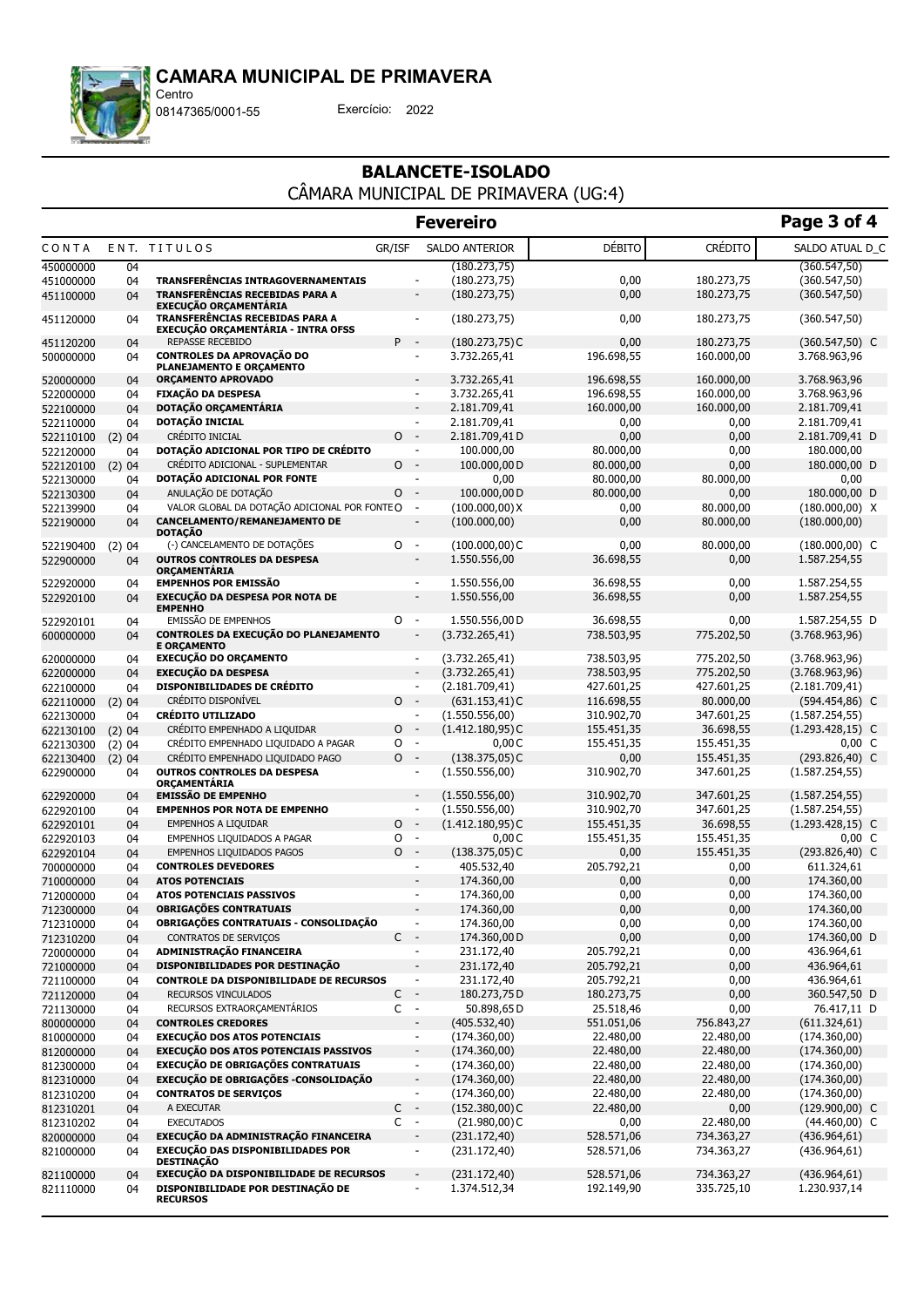

08147365/0001-55 Exercício: 2022

### BALANCETE-ISOLADO CÂMARA MUNICIPAL DE PRIMAVERA (UG:4)

|                        |              |                                                                                                              |         |                                                      | <b>Fevereiro</b>                    |                          |                         | Page 3 of 4                            |
|------------------------|--------------|--------------------------------------------------------------------------------------------------------------|---------|------------------------------------------------------|-------------------------------------|--------------------------|-------------------------|----------------------------------------|
| CONTA                  |              | ENT. TITULOS                                                                                                 | GR/ISF  |                                                      | <b>SALDO ANTERIOR</b>               | <b>DÉBITO</b>            | <b>CRÉDITO</b>          | SALDO ATUAL D C                        |
| 450000000              | 04           |                                                                                                              |         |                                                      | (180.273,75)                        |                          |                         | (360.547, 50)                          |
| 451000000              | 04           | <b>TRANSFERENCIAS INTRAGOVERNAMENTAIS</b>                                                                    |         |                                                      | (180.273,75)                        | 0,00                     | 180.273,75              | (360.547, 50)                          |
| 451100000              | 04           | <b>TRANSFERÊNCIAS RECEBIDAS PARA A</b>                                                                       |         | $\overline{\phantom{a}}$                             | (180.273,75)                        | 0,00                     | 180.273,75              | (360.547, 50)                          |
| 451120000              | 04           | <b>EXECUÇÃO ORÇAMENTARIA</b><br>TRANSFERÊNCIAS RECEBIDAS PARA A<br><b>EXECUÇÃO ORÇAMENTÁRIA - INTRA OFSS</b> |         | $\overline{\phantom{a}}$                             | (180.273,75)                        | 0,00                     | 180.273,75              | (360.547, 50)                          |
| 451120200              | 04           | <b>REPASSE RECEBIDO</b>                                                                                      | $P -$   |                                                      | $(180.273,75)$ C                    | 0,00                     | 180.273,75              | $(360.547,50)$ C                       |
| 500000000              | 04           | <b>CONTROLES DA APROVAÇÃO DO</b>                                                                             |         | $\blacksquare$                                       | 3.732.265,41                        | 196.698,55               | 160.000,00              | 3.768.963,96                           |
|                        |              | PLANEJAMENTO E ORÇAMENTO                                                                                     |         |                                                      |                                     |                          |                         |                                        |
| 520000000              | 04           | <b>ORCAMENTO APROVADO</b>                                                                                    |         | $\blacksquare$                                       | 3.732.265,41                        | 196.698,55               | 160.000,00              | 3.768.963,96                           |
| 522000000              | 04           | <b>FIXAÇÃO DA DESPESA</b><br>DOTAÇÃO ORÇAMENTÁRIA                                                            |         | $\overline{\phantom{a}}$<br>$\blacksquare$           | 3.732.265,41                        | 196.698,55               | 160.000,00              | 3.768.963,96                           |
| 522100000<br>522110000 | 04<br>04     | DOTAÇÃO INICIAL                                                                                              |         | $\overline{\phantom{a}}$                             | 2.181.709,41<br>2.181.709,41        | 160.000,00<br>0,00       | 160.000,00<br>0,00      | 2.181.709,41<br>2.181.709,41           |
| 522110100              | (2)04        | CRÉDITO INICIAL                                                                                              | $\circ$ | $\sim$                                               | 2.181.709,41D                       | 0,00                     | 0,00                    | 2.181.709,41 D                         |
| 522120000              | 04           | DOTAÇÃO ADICIONAL POR TIPO DE CRÉDITO                                                                        |         | $\overline{\phantom{a}}$                             | 100.000,00                          | 80.000,00                | 0,00                    | 180.000,00                             |
| 522120100              | (2)04        | CRÉDITO ADICIONAL - SUPLEMENTAR                                                                              | 0       | $\overline{\phantom{a}}$                             | 100.000,00 D                        | 80.000,00                | 0,00                    | 180.000,00 D                           |
| 522130000              | 04           | DOTAÇÃO ADICIONAL POR FONTE                                                                                  |         | $\blacksquare$                                       | 0,00                                | 80.000,00                | 80.000,00               | 0,00                                   |
| 522130300              | 04           | ANULAÇÃO DE DOTAÇÃO                                                                                          | 0       | $\sim$                                               | 100.000,00 D                        | 80.000,00                | 0,00                    | 180.000,00 D                           |
| 522139900              | 04           | VALOR GLOBAL DA DOTAÇÃO ADICIONAL POR FONTEO                                                                 |         | $\blacksquare$                                       | (100.000,00)X                       | 0,00                     | 80.000,00               | $(180.000,00)$ X                       |
| 522190000              | 04           | CANCELAMENTO/REMANEJAMENTO DE<br><b>DOTAÇÃO</b>                                                              |         | $\overline{\phantom{a}}$                             | (100.000, 00)                       | 0,00                     | 80.000,00               | (180.000,00)                           |
| 522190400              | (2)04        | (-) CANCELAMENTO DE DOTAÇÕES                                                                                 | $\circ$ | $\sim$                                               | $(100.000, 00)$ C                   | 0,00                     | 80.000,00               | $(180.000, 00)$ C                      |
| 522900000              | 04           | <b>OUTROS CONTROLES DA DESPESA</b><br><b>ORÇAMENTARIA</b>                                                    |         | $\overline{\phantom{a}}$                             | 1.550.556,00                        | 36.698,55                | 0,00                    | 1.587.254,55                           |
| 522920000              | 04           | <b>EMPENHOS POR EMISSÃO</b>                                                                                  |         | $\overline{\phantom{a}}$                             | 1.550.556,00                        | 36.698,55                | 0,00                    | 1.587.254,55                           |
| 522920100              | 04           | <b>EXECUÇÃO DA DESPESA POR NOTA DE</b><br><b>EMPENHO</b>                                                     |         | $\overline{\phantom{a}}$                             | 1.550.556,00                        | 36.698,55                | 0,00                    | 1.587.254,55                           |
| 522920101              | 04           | EMISSÃO DE EMPENHOS                                                                                          | 0       | $\overline{\phantom{a}}$                             | 1.550.556.00 D                      | 36.698,55                | 0,00                    | 1.587.254,55 D                         |
| 600000000              | 04           | CONTROLES DA EXECUÇÃO DO PLANEJAMENTO<br><b>E ORÇAMENTO</b>                                                  |         | $\overline{\phantom{a}}$                             | (3.732.265, 41)                     | 738.503,95               | 775.202,50              | (3.768.963,96)                         |
| 620000000              | 04           | <b>EXECUÇÃO DO ORÇAMENTO</b>                                                                                 |         | $\overline{\phantom{a}}$                             | (3.732.265, 41)                     | 738.503,95               | 775.202,50              | (3.768.963,96)                         |
| 622000000              | 04           | <b>EXECUÇÃO DA DESPESA</b>                                                                                   |         | $\overline{a}$                                       | (3.732.265, 41)                     | 738.503,95               | 775.202,50              | (3.768.963,96)                         |
| 622100000              | 04           | <b>DISPONIBILIDADES DE CRÉDITO</b>                                                                           |         | $\blacksquare$<br>$\sim$                             | (2.181.709, 41)                     | 427.601,25               | 427.601,25              | (2.181.709, 41)                        |
| 622110000              | (2) 04       | CRÉDITO DISPONÍVEL<br><b>CRÉDITO UTILIZADO</b>                                                               | $\circ$ | $\blacksquare$                                       | $(631.153, 41)$ C<br>(1.550.556,00) | 116.698,55<br>310.902,70 | 80.000,00<br>347.601,25 | (594.454,86) C                         |
| 622130000<br>622130100 | 04<br>(2) 04 | CRÉDITO EMPENHADO A LIQUIDAR                                                                                 | 0       | $\overline{\phantom{a}}$                             | $(1.412.180,95)$ C                  | 155.451,35               | 36.698,55               | (1.587.254, 55)<br>$(1.293.428, 15)$ C |
| 622130300              | (2)04        | CRÉDITO EMPENHADO LIQUIDADO A PAGAR                                                                          | O       | $\mathcal{L}_{\mathcal{A}}$                          | 0,00C                               | 155.451,35               | 155.451,35              | $0,00\,C$                              |
| 622130400              | (2)04        | CRÉDITO EMPENHADO LIQUIDADO PAGO                                                                             | 0       | $\sim$                                               | $(138.375,05)$ C                    | 0,00                     | 155.451,35              | $(293.826, 40)$ C                      |
| 622900000              | 04           | <b>OUTROS CONTROLES DA DESPESA</b><br><b>ORCAMENTARIA</b>                                                    |         | $\overline{\phantom{a}}$                             | (1.550.556,00)                      | 310.902,70               | 347.601,25              | (1.587.254, 55)                        |
| 622920000              | 04           | <b>EMISSÃO DE EMPENHO</b>                                                                                    |         | $\overline{\phantom{a}}$                             | (1.550.556,00)                      | 310.902,70               | 347.601,25              | (1.587.254, 55)                        |
| 622920100              | 04           | <b>EMPENHOS POR NOTA DE EMPENHO</b>                                                                          |         | $\blacksquare$                                       | (1.550.556,00)                      | 310.902,70               | 347.601,25              | (1.587.254, 55)                        |
| 622920101              | 04           | <b>EMPENHOS A LIQUIDAR</b>                                                                                   | 0       | $\mathcal{A}$                                        | $(1.412.180,95)$ C                  | 155.451,35               | 36.698,55               | $(1.293.428, 15)$ C                    |
| 622920103              | 04           | EMPENHOS LIQUIDADOS A PAGAR                                                                                  | O       | $\blacksquare$                                       | 0,00C                               | 155.451,35               | 155.451,35              | $0,00\,C$                              |
| 622920104              | 04           | <b>EMPENHOS LIQUIDADOS PAGOS</b><br><b>CONTROLES DEVEDORES</b>                                               | $0 -$   | $\overline{\phantom{a}}$                             | $(138.375,05)$ C<br>405.532,40      | 0,00<br>205.792,21       | 155.451,35              | $(293.826, 40)$ C<br>611.324,61        |
| 700000000              | 04<br>04     | <b>ATOS POTENCIAIS</b>                                                                                       |         | $\overline{\phantom{a}}$                             | 174.360,00                          | 0,00                     | 0,00<br>0,00            | 174.360,00                             |
| 710000000<br>712000000 | 04           | ATOS POTENCIAIS PASSIVOS                                                                                     |         | $\overline{\phantom{a}}$                             | 174.360,00                          | 0,00                     | 0,00                    | 174.360,00                             |
| 712300000              | 04           | <b>OBRIGAÇÕES CONTRATUAIS</b>                                                                                |         |                                                      | 174.360,00                          | 0,00                     | 0,00                    | 174.360,00                             |
| 712310000              | 04           | OBRIGAÇÕES CONTRATUAIS - CONSOLIDAÇÃO                                                                        |         | $\overline{\phantom{a}}$                             | 174.360,00                          | 0,00                     | 0,00                    | 174.360,00                             |
| 712310200              | 04           | CONTRATOS DE SERVIÇOS                                                                                        | $C -$   |                                                      | 174.360,00 D                        | 0,00                     | 0,00                    | 174.360,00 D                           |
| 720000000              | 04           | ADMINISTRAÇÃO FINANCEIRA                                                                                     |         | $\overline{\phantom{a}}$                             | 231.172,40                          | 205.792,21               | 0,00                    | 436.964,61                             |
| 721000000              | 04           | DISPONIBILIDADES POR DESTINAÇÃO                                                                              |         |                                                      | 231.172,40                          | 205.792,21               | 0,00                    | 436.964,61                             |
| 721100000              | 04           | <b>CONTROLE DA DISPONIBILIDADE DE RECURSOS</b>                                                               |         | $\overline{\phantom{a}}$                             | 231.172,40                          | 205.792,21               | 0,00                    | 436.964,61                             |
| 721120000              | 04           | RECURSOS VINCULADOS                                                                                          | C       | $\overline{\phantom{a}}$                             | 180.273,75 D                        | 180.273,75               | 0,00                    | 360.547,50 D                           |
| 721130000              | 04           | RECURSOS EXTRAORÇAMENTÁRIOS                                                                                  | C       | $\sim$                                               | 50.898,65D                          | 25.518,46                | 0,00                    | 76.417,11 D                            |
| 800000000              | 04           | <b>CONTROLES CREDORES</b>                                                                                    |         | $\overline{\phantom{a}}$                             | (405.532,40)                        | 551.051,06               | 756.843,27              | (611.324, 61)                          |
| 810000000              | 04           | <b>EXECUÇÃO DOS ATOS POTENCIAIS</b><br>EXECUÇÃO DOS ATOS POTENCIAIS PASSIVOS                                 |         | $\overline{\phantom{a}}$                             | (174.360,00)                        | 22.480,00                | 22.480,00               | (174.360,00)                           |
| 812000000              | 04           | EXECUÇÃO DE OBRIGAÇÕES CONTRATUAIS                                                                           |         |                                                      | (174.360,00)                        | 22.480,00                | 22.480,00               | (174.360,00)                           |
| 812300000<br>812310000 | 04<br>04     | EXECUÇÃO DE OBRIGAÇÕES - CONSOLIDAÇÃO                                                                        |         | $\overline{\phantom{a}}$<br>$\overline{\phantom{a}}$ | (174.360,00)<br>(174.360,00)        | 22.480,00<br>22.480,00   | 22.480,00<br>22.480,00  | (174.360,00)<br>(174.360,00)           |
| 812310200              | 04           | <b>CONTRATOS DE SERVIÇOS</b>                                                                                 |         | $\blacksquare$                                       | (174.360,00)                        | 22.480,00                | 22.480,00               | (174.360,00)                           |
| 812310201              | 04           | A EXECUTAR                                                                                                   | C       | $\sim$                                               | $(152.380,00)$ C                    | 22.480,00                | 0,00                    | $(129.900,00)$ C                       |
| 812310202              | 04           | <b>EXECUTADOS</b>                                                                                            | $C -$   |                                                      | $(21.980,00)$ C                     | 0,00                     | 22.480,00               | $(44.460,00)$ C                        |
| 820000000              | 04           | EXECUÇÃO DA ADMINISTRAÇÃO FINANCEIRA                                                                         |         | $\overline{\phantom{a}}$                             | (231.172,40)                        | 528.571,06               | 734.363,27              | (436.964, 61)                          |
| 821000000              | 04           | EXECUÇÃO DAS DISPONIBILIDADES POR<br><b>DESTINAÇÃO</b>                                                       |         | $\overline{\phantom{a}}$                             | (231.172,40)                        | 528.571,06               | 734.363,27              | (436.964, 61)                          |
| 821100000              | 04           | EXECUÇÃO DA DISPONIBILIDADE DE RECURSOS                                                                      |         | $\overline{\phantom{a}}$                             | (231.172,40)                        | 528.571,06               | 734.363,27              | (436.964, 61)                          |
| 821110000              | 04           | DISPONIBILIDADE POR DESTINAÇÃO DE<br><b>RECURSOS</b>                                                         |         | $\overline{\phantom{a}}$                             | 1.374.512,34                        | 192.149,90               | 335.725,10              | 1.230.937,14                           |